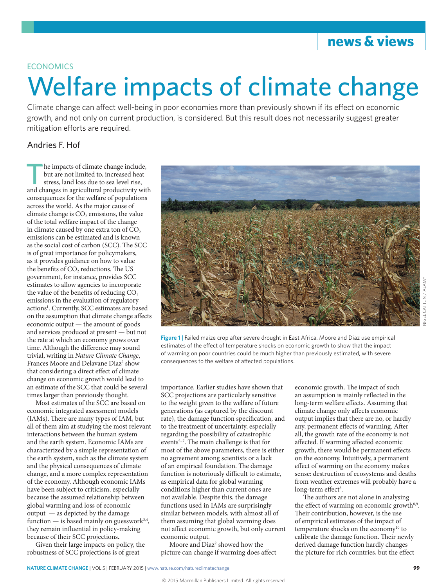# **news & views**

### **ECONOMICS**

# Welfare impacts of climate change

Climate change can affect well-being in poor economies more than previously shown if its effect on economic growth, and not only on current production, is considered. But this result does not necessarily suggest greater mitigation efforts are required.

## Andries F. Hof

The impacts of climate change include, but are not limited to, increased heat stress, land loss due to sea level rise, and changes in agricultural productivity with consequences for the welfare of populations across the world. As the major cause of climate change is CO<sub>2</sub> emissions, the value of the total welfare impact of the change in climate caused by one extra ton of  $CO<sub>2</sub>$ emissions can be estimated and is known as the social cost of carbon (SCC). The SCC is of great importance for policymakers, as it provides guidance on how to value the benefits of CO<sub>2</sub> reductions. The US government, for instance, provides SCC estimates to allow agencies to incorporate the value of the benefits of reducing CO<sub>2</sub> emissions in the evaluation of regulatory actions<sup>1</sup>. Currently, SCC estimates are based on the assumption that climate change affects economic output — the amount of goods and services produced at present — but not the rate at which an economy grows over time. Although the difference may sound trivial, writing in *Nature Climate Change*, Frances Moore and Delavane Diaz<sup>2</sup> show that considering a direct effect of climate change on economic growth would lead to an estimate of the SCC that could be several times larger than previously thought.

Most estimates of the SCC are based on economic integrated assessment models (IAMs). There are many types of IAM, but all of them aim at studying the most relevant interactions between the human system and the earth system. Economic IAMs are characterized by a simple representation of the earth system, such as the climate system and the physical consequences of climate change, and a more complex representation of the economy. Although economic IAMs have been subject to criticism, especially because the assumed relationship between global warming and loss of economic output — as depicted by the damage function — is based mainly on guesswork $3,4$ , they remain influential in policy-making because of their SCC projections**.**

Given their large impacts on policy, the robustness of SCC projections is of great



**Figure 1 |** Failed maize crop after severe drought in East Africa. Moore and Diaz use empirical estimates of the effect of temperature shocks on economic growth to show that the impact of warming on poor countries could be much higher than previously estimated, with severe consequences to the welfare of affected populations.

importance. Earlier studies have shown that SCC projections are particularly sensitive to the weight given to the welfare of future generations (as captured by the discount rate), the damage function specification, and to the treatment of uncertainty, especially regarding the possibility of catastrophic events<sup>5-7</sup>. The main challenge is that for most of the above parameters, there is either no agreement among scientists or a lack of an empirical foundation. The damage function is notoriously difficult to estimate, as empirical data for global warming conditions higher than current ones are not available. Despite this, the damage functions used in IAMs are surprisingly similar between models, with almost all of them assuming that global warming does not affect economic growth, but only current economic output.

Moore and Diaz<sup>2</sup> showed how the picture can change if warming does affect

economic growth. The impact of such an assumption is mainly reflected in the long-term welfare effects. Assuming that climate change only affects economic output implies that there are no, or hardly any, permanent effects of warming. After all, the growth rate of the economy is not affected. If warming affected economic growth, there would be permanent effects on the economy. Intuitively, a permanent effect of warming on the economy makes sense: destruction of ecosystems and deaths from weather extremes will probably have a long-term effect<sup>8</sup>.

The authors are not alone in analysing the effect of warming on economic growth<sup>8,9</sup>. Their contribution, however, is the use of empirical estimates of the impact of temperature shocks on the economy<sup>10</sup> to calibrate the damage function. Their newly derived damage function hardly changes the picture for rich countries, but the effect